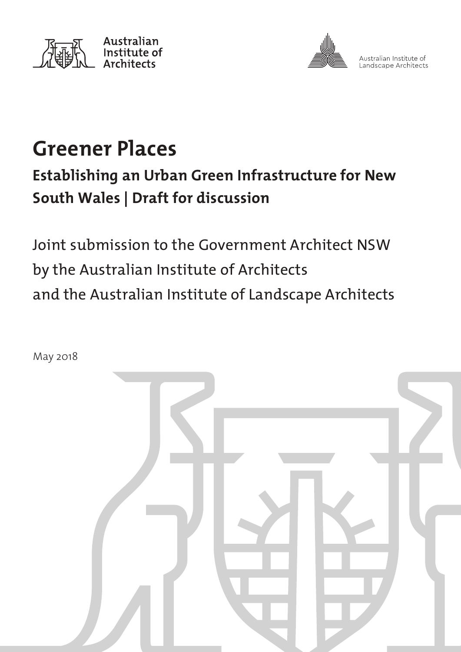



Australian Institute of Landscape Architects

# **Greener Places**

## **Establishing an Urban Green Infrastructure for New South Wales | Draft for discussion**

Joint submission to the Government Architect NSW by the Australian Institute of Architects and the Australian Institute of Landscape Architects

May 2018

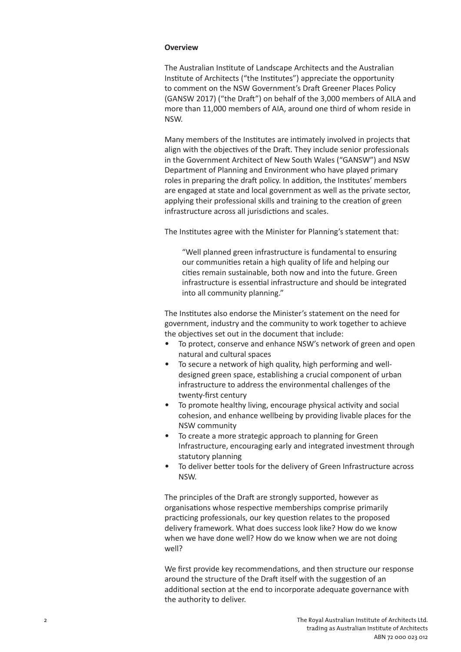#### **Overview**

The Australian Institute of Landscape Architects and the Australian Institute of Architects ("the Institutes") appreciate the opportunity to comment on the NSW Government's Draft Greener Places Policy (GANSW 2017) ("the Draft") on behalf of the 3,000 members of AILA and more than 11,000 members of AIA, around one third of whom reside in NSW.

Many members of the Institutes are intimately involved in projects that align with the objectives of the Draft. They include senior professionals in the Government Architect of New South Wales ("GANSW") and NSW Department of Planning and Environment who have played primary roles in preparing the draft policy. In addition, the Institutes' members are engaged at state and local government as well as the private sector, applying their professional skills and training to the creation of green infrastructure across all jurisdictions and scales.

The Institutes agree with the Minister for Planning's statement that:

"Well planned green infrastructure is fundamental to ensuring our communities retain a high quality of life and helping our cities remain sustainable, both now and into the future. Green infrastructure is essential infrastructure and should be integrated into all community planning."

The Institutes also endorse the Minister's statement on the need for government, industry and the community to work together to achieve the objectives set out in the document that include:

- To protect, conserve and enhance NSW's network of green and open natural and cultural spaces
- To secure a network of high quality, high performing and welldesigned green space, establishing a crucial component of urban infrastructure to address the environmental challenges of the twenty-first century
- To promote healthy living, encourage physical activity and social cohesion, and enhance wellbeing by providing livable places for the NSW community
- To create a more strategic approach to planning for Green Infrastructure, encouraging early and integrated investment through statutory planning
- To deliver better tools for the delivery of Green Infrastructure across NSW.

The principles of the Draft are strongly supported, however as organisations whose respective memberships comprise primarily practicing professionals, our key question relates to the proposed delivery framework. What does success look like? How do we know when we have done well? How do we know when we are not doing well?

We first provide key recommendations, and then structure our response around the structure of the Draft itself with the suggestion of an additional section at the end to incorporate adequate governance with the authority to deliver.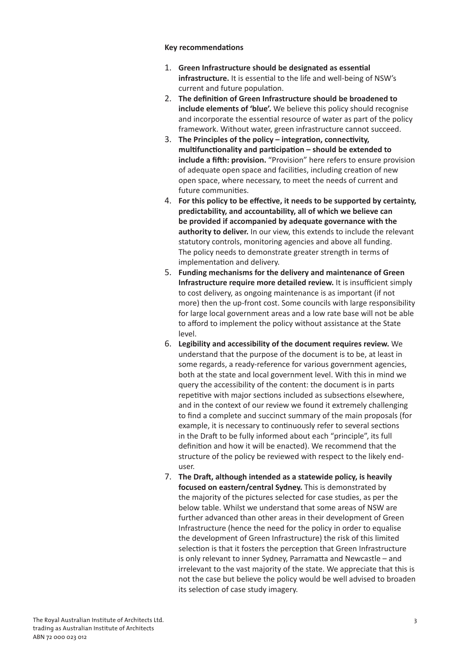#### **Key recommendations**

- 1. **Green Infrastructure should be designated as essential infrastructure.** It is essential to the life and well-being of NSW's current and future population.
- 2. **The definition of Green Infrastructure should be broadened to include elements of 'blue'.** We believe this policy should recognise and incorporate the essential resource of water as part of the policy framework. Without water, green infrastructure cannot succeed.
- 3. **The Principles of the policy integration, connectivity, multifunctionality and participation – should be extended to include a fifth: provision.** "Provision" here refers to ensure provision of adequate open space and facilities, including creation of new open space, where necessary, to meet the needs of current and future communities.
- 4. **For this policy to be effective, it needs to be supported by certainty, predictability, and accountability, all of which we believe can be provided if accompanied by adequate governance with the authority to deliver.** In our view, this extends to include the relevant statutory controls, monitoring agencies and above all funding. The policy needs to demonstrate greater strength in terms of implementation and delivery.
- 5. **Funding mechanisms for the delivery and maintenance of Green Infrastructure require more detailed review.** It is insufficient simply to cost delivery, as ongoing maintenance is as important (if not more) then the up-front cost. Some councils with large responsibility for large local government areas and a low rate base will not be able to afford to implement the policy without assistance at the State level.
- 6. **Legibility and accessibility of the document requires review.** We understand that the purpose of the document is to be, at least in some regards, a ready-reference for various government agencies, both at the state and local government level. With this in mind we query the accessibility of the content: the document is in parts repetitive with major sections included as subsections elsewhere, and in the context of our review we found it extremely challenging to find a complete and succinct summary of the main proposals (for example, it is necessary to continuously refer to several sections in the Draft to be fully informed about each "principle", its full definition and how it will be enacted). We recommend that the structure of the policy be reviewed with respect to the likely enduser.
- 7. **The Draft, although intended as a statewide policy, is heavily focused on eastern/central Sydney.** This is demonstrated by the majority of the pictures selected for case studies, as per the below table. Whilst we understand that some areas of NSW are further advanced than other areas in their development of Green Infrastructure (hence the need for the policy in order to equalise the development of Green Infrastructure) the risk of this limited selection is that it fosters the perception that Green Infrastructure is only relevant to inner Sydney, Parramatta and Newcastle – and irrelevant to the vast majority of the state. We appreciate that this is not the case but believe the policy would be well advised to broaden its selection of case study imagery.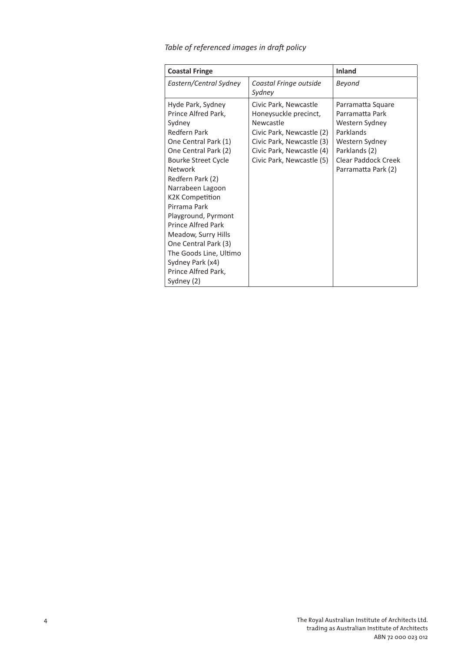| <b>Coastal Fringe</b>                                                                                                                                                                                                                                                                                                                                                                                                 |                                                                                                                                                                                 | <b>Inland</b>                                                                                                                                               |
|-----------------------------------------------------------------------------------------------------------------------------------------------------------------------------------------------------------------------------------------------------------------------------------------------------------------------------------------------------------------------------------------------------------------------|---------------------------------------------------------------------------------------------------------------------------------------------------------------------------------|-------------------------------------------------------------------------------------------------------------------------------------------------------------|
| Eastern/Central Sydney                                                                                                                                                                                                                                                                                                                                                                                                | Coastal Fringe outside<br>Sydney                                                                                                                                                | Beyond                                                                                                                                                      |
| Hyde Park, Sydney<br>Prince Alfred Park,<br>Sydney<br>Redfern Park<br>One Central Park (1)<br>One Central Park (2)<br>Bourke Street Cycle<br>Network<br>Redfern Park (2)<br>Narrabeen Lagoon<br>K2K Competition<br>Pirrama Park<br>Playground, Pyrmont<br><b>Prince Alfred Park</b><br>Meadow, Surry Hills<br>One Central Park (3)<br>The Goods Line, Ultimo<br>Sydney Park (x4)<br>Prince Alfred Park,<br>Sydney (2) | Civic Park, Newcastle<br>Honeysuckle precinct,<br>Newcastle<br>Civic Park, Newcastle (2)<br>Civic Park, Newcastle (3)<br>Civic Park, Newcastle (4)<br>Civic Park, Newcastle (5) | Parramatta Square<br>Parramatta Park<br>Western Sydney<br>Parklands<br>Western Sydney<br>Parklands (2)<br><b>Clear Paddock Creek</b><br>Parramatta Park (2) |

### *Table of referenced images in draft policy*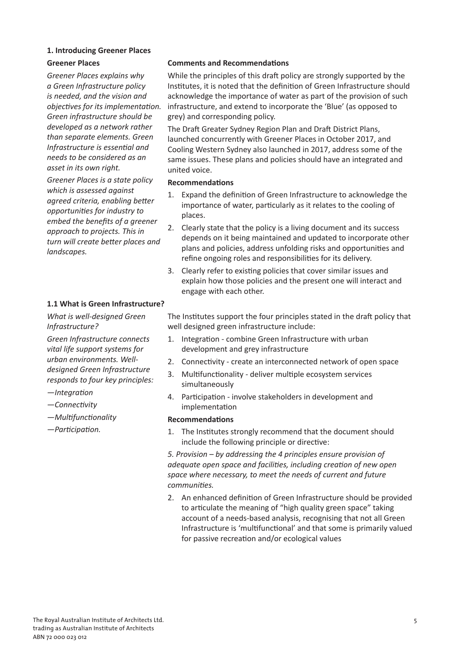#### **1. Introducing Greener Places**

*Greener Places explains why a Green Infrastructure policy is needed, and the vision and objectives for its implementation. Green infrastructure should be developed as a network rather than separate elements. Green Infrastructure is essential and needs to be considered as an asset in its own right.*

*Greener Places is a state policy which is assessed against agreed criteria, enabling better opportunities for industry to embed the benefits of a greener approach to projects. This in turn will create better places and landscapes.*

#### **1.1 What is Green Infrastructure?**

*What is well-designed Green Infrastructure?*

*Green Infrastructure connects vital life support systems for urban environments. Welldesigned Green Infrastructure responds to four key principles:*

- *—Integration*
- *—Connectivity*
- *—Multifunctionality*
- *—Participation.*

#### **Greener Places Comments and Recommendations**

While the principles of this draft policy are strongly supported by the Institutes, it is noted that the definition of Green Infrastructure should acknowledge the importance of water as part of the provision of such infrastructure, and extend to incorporate the 'Blue' (as opposed to grey) and corresponding policy.

The Draft Greater Sydney Region Plan and Draft District Plans, launched concurrently with Greener Places in October 2017, and Cooling Western Sydney also launched in 2017, address some of the same issues. These plans and policies should have an integrated and united voice.

#### **Recommendations**

- 1. Expand the definition of Green Infrastructure to acknowledge the importance of water, particularly as it relates to the cooling of places.
- 2. Clearly state that the policy is a living document and its success depends on it being maintained and updated to incorporate other plans and policies, address unfolding risks and opportunities and refine ongoing roles and responsibilities for its delivery.
- 3. Clearly refer to existing policies that cover similar issues and explain how those policies and the present one will interact and engage with each other.

The Institutes support the four principles stated in the draft policy that well designed green infrastructure include:

- 1. Integration combine Green Infrastructure with urban development and grey infrastructure
- 2. Connectivity create an interconnected network of open space
- 3. Multifunctionality deliver multiple ecosystem services simultaneously
- 4. Participation involve stakeholders in development and implementation

#### **Recommendations**

1. The Institutes strongly recommend that the document should include the following principle or directive:

*5. Provision – by addressing the 4 principles ensure provision of adequate open space and facilities, including creation of new open space where necessary, to meet the needs of current and future communities.*

2. An enhanced definition of Green Infrastructure should be provided to articulate the meaning of "high quality green space" taking account of a needs-based analysis, recognising that not all Green Infrastructure is 'multifunctional' and that some is primarily valued for passive recreation and/or ecological values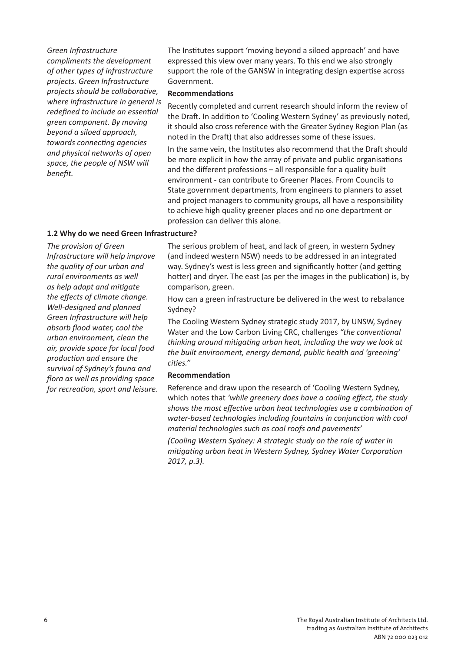*Green Infrastructure* 

*compliments the development of other types of infrastructure projects. Green Infrastructure projects should be collaborative, where infrastructure in general is redefined to include an essential green component. By moving beyond a siloed approach, towards connecting agencies and physical networks of open space, the people of NSW will benefit.*

The Institutes support 'moving beyond a siloed approach' and have expressed this view over many years. To this end we also strongly support the role of the GANSW in integrating design expertise across Government.

#### **Recommendations**

Recently completed and current research should inform the review of the Draft. In addition to 'Cooling Western Sydney' as previously noted, it should also cross reference with the Greater Sydney Region Plan (as noted in the Draft) that also addresses some of these issues.

In the same vein, the Institutes also recommend that the Draft should be more explicit in how the array of private and public organisations and the different professions – all responsible for a quality built environment - can contribute to Greener Places. From Councils to State government departments, from engineers to planners to asset and project managers to community groups, all have a responsibility to achieve high quality greener places and no one department or profession can deliver this alone.

#### **1.2 Why do we need Green Infrastructure?**

*The provision of Green Infrastructure will help improve the quality of our urban and rural environments as well as help adapt and mitigate the effects of climate change. Well-designed and planned Green Infrastructure will help absorb flood water, cool the urban environment, clean the air, provide space for local food production and ensure the survival of Sydney's fauna and flora as well as providing space for recreation, sport and leisure.* The serious problem of heat, and lack of green, in western Sydney (and indeed western NSW) needs to be addressed in an integrated way. Sydney's west is less green and significantly hotter (and getting hotter) and dryer. The east (as per the images in the publication) is, by comparison, green.

How can a green infrastructure be delivered in the west to rebalance Sydney?

The Cooling Western Sydney strategic study 2017, by UNSW, Sydney Water and the Low Carbon Living CRC, challenges *"the conventional thinking around mitigating urban heat, including the way we look at the built environment, energy demand, public health and 'greening' cities."*

#### **Recommendation**

Reference and draw upon the research of 'Cooling Western Sydney, which notes that *'while greenery does have a cooling effect, the study shows the most effective urban heat technologies use a combination of water-based technologies including fountains in conjunction with cool material technologies such as cool roofs and pavements'* 

*(Cooling Western Sydney: A strategic study on the role of water in mitigating urban heat in Western Sydney, Sydney Water Corporation 2017, p.3).*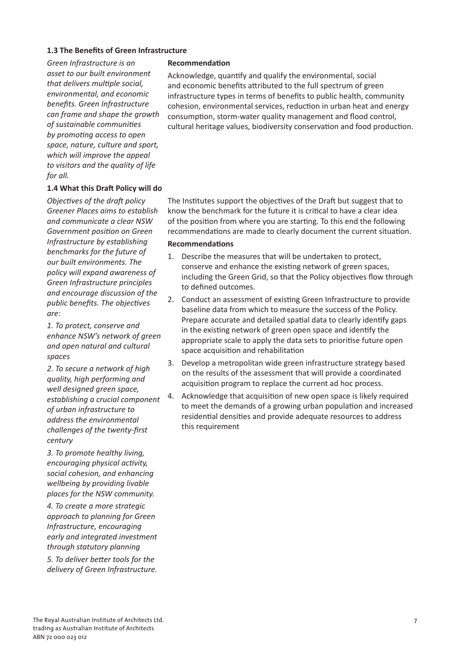#### **1.3 The Benefits of Green Infrastructure**

*Green Infrastructure is an asset to our built environment that delivers multiple social, environmental, and economic benefits. Green Infrastructure can frame and shape the growth of sustainable communities by promoting access to open space, nature, culture and sport, which will improve the appeal to visitors and the quality of life for all.*

#### **1.4 What this Draft Policy will do**

*Objectives of the draft policy Greener Places aims to establish and communicate a clear NSW Government position on Green Infrastructure by establishing benchmarks for the future of our built environments. The policy will expand awareness of Green Infrastructure principles and encourage discussion of the public benefits. The objectives are:*

*1. To protect, conserve and enhance NSW's network of green and open natural and cultural spaces*

*2. To secure a network of high quality, high performing and well designed green space, establishing a crucial component of urban infrastructure to address the environmental challenges of the twenty-first century*

*3. To promote healthy living, encouraging physical activity, social cohesion, and enhancing wellbeing by providing livable places for the NSW community.*

*4. To create a more strategic approach to planning for Green Infrastructure, encouraging early and integrated investment through statutory planning 5. To deliver better tools for the delivery of Green Infrastructure.*

#### **Recommendation**

Acknowledge, quantify and qualify the environmental, social and economic benefits attributed to the full spectrum of green infrastructure types in terms of benefits to public health, community cohesion, environmental services, reduction in urban heat and energy consumption, storm-water quality management and flood control, cultural heritage values, biodiversity conservation and food production.

The Institutes support the objectives of the Draft but suggest that to know the benchmark for the future it is critical to have a clear idea of the position from where you are starting. To this end the following recommendations are made to clearly document the current situation.

#### **Recommendations**

- 1. Describe the measures that will be undertaken to protect, conserve and enhance the existing network of green spaces, including the Green Grid, so that the Policy objectives flow through to defined outcomes.
- 2. Conduct an assessment of existing Green Infrastructure to provide baseline data from which to measure the success of the Policy. Prepare accurate and detailed spatial data to clearly identify gaps in the existing network of green open space and identify the appropriate scale to apply the data sets to prioritise future open space acquisition and rehabilitation
- 3. Develop a metropolitan wide green infrastructure strategy based on the results of the assessment that will provide a coordinated acquisition program to replace the current ad hoc process.
- 4. Acknowledge that acquisition of new open space is likely required to meet the demands of a growing urban population and increased residential densities and provide adequate resources to address this requirement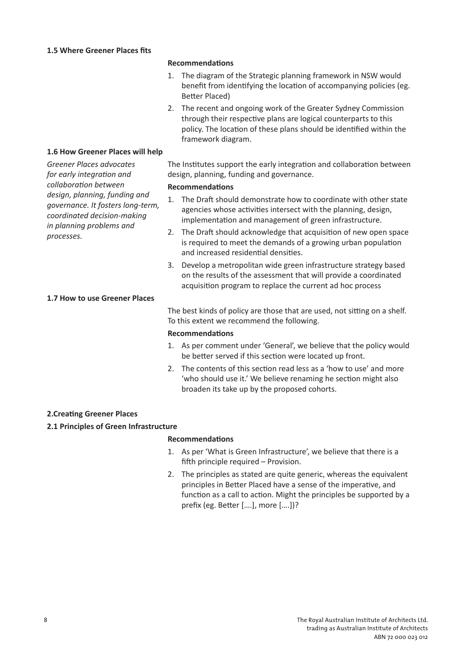#### **Recommendations**

- 1. The diagram of the Strategic planning framework in NSW would benefit from identifying the location of accompanying policies (eg. Better Placed)
- 2. The recent and ongoing work of the Greater Sydney Commission through their respective plans are logical counterparts to this policy. The location of these plans should be identified within the framework diagram.

#### **1.6 How Greener Places will help**

*Greener Places advocates for early integration and collaboration between design, planning, funding and governance. It fosters long-term, coordinated decision-making in planning problems and processes.*

#### **1.7 How to use Greener Places**

### The Institutes support the early integration and collaboration between design, planning, funding and governance.

#### **Recommendations**

- 1. The Draft should demonstrate how to coordinate with other state agencies whose activities intersect with the planning, design, implementation and management of green infrastructure.
- 2. The Draft should acknowledge that acquisition of new open space is required to meet the demands of a growing urban population and increased residential densities.
- 3. Develop a metropolitan wide green infrastructure strategy based on the results of the assessment that will provide a coordinated acquisition program to replace the current ad hoc process

The best kinds of policy are those that are used, not sitting on a shelf. To this extent we recommend the following.

#### **Recommendations**

- 1. As per comment under 'General', we believe that the policy would be better served if this section were located up front.
- 2. The contents of this section read less as a 'how to use' and more 'who should use it.' We believe renaming he section might also broaden its take up by the proposed cohorts.

#### **2.Creating Greener Places**

#### **2.1 Principles of Green Infrastructure**

#### **Recommendations**

- 1. As per 'What is Green Infrastructure', we believe that there is a fifth principle required – Provision.
- 2. The principles as stated are quite generic, whereas the equivalent principles in Better Placed have a sense of the imperative, and function as a call to action. Might the principles be supported by a prefix (eg. Better [….], more [….])?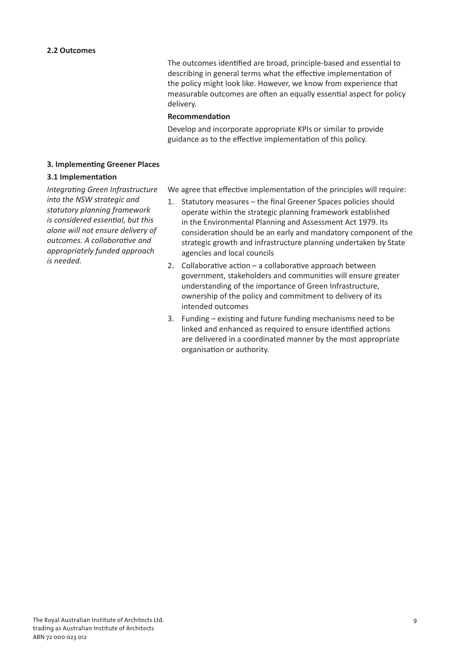The outcomes identified are broad, principle-based and essential to describing in general terms what the effective implementation of the policy might look like. However, we know from experience that measurable outcomes are often an equally essential aspect for policy delivery.

#### **Recommendation**

Develop and incorporate appropriate KPIs or similar to provide guidance as to the effective implementation of this policy.

#### **3. Implementing Greener Places**

#### **3.1 Implementation**

*Integrating Green Infrastructure into the NSW strategic and statutory planning framework is considered essential, but this alone will not ensure delivery of outcomes. A collaborative and appropriately funded approach is needed.*

We agree that effective implementation of the principles will require:

- 1. Statutory measures the final Greener Spaces policies should operate within the strategic planning framework established in the Environmental Planning and Assessment Act 1979. Its consideration should be an early and mandatory component of the strategic growth and infrastructure planning undertaken by State agencies and local councils
- 2. Collaborative action a collaborative approach between government, stakeholders and communities will ensure greater understanding of the importance of Green Infrastructure, ownership of the policy and commitment to delivery of its intended outcomes
- 3. Funding existing and future funding mechanisms need to be linked and enhanced as required to ensure identified actions are delivered in a coordinated manner by the most appropriate organisation or authority.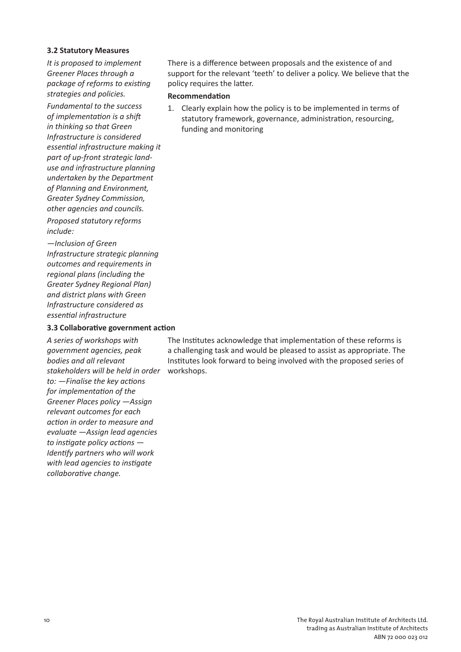#### **3.2 Statutory Measures**

*It is proposed to implement Greener Places through a package of reforms to existing strategies and policies.*

*Fundamental to the success of implementation is a shift in thinking so that Green Infrastructure is considered essential infrastructure making it part of up-front strategic landuse and infrastructure planning undertaken by the Department of Planning and Environment, Greater Sydney Commission, other agencies and councils.*

*Proposed statutory reforms include:* 

*—Inclusion of Green Infrastructure strategic planning outcomes and requirements in regional plans (including the Greater Sydney Regional Plan) and district plans with Green Infrastructure considered as essential infrastructure*

#### **3.3 Collaborative government action**

*A series of workshops with government agencies, peak bodies and all relevant stakeholders will be held in order to: —Finalise the key actions for implementation of the Greener Places policy —Assign relevant outcomes for each action in order to measure and evaluate —Assign lead agencies to instigate policy actions — Identify partners who will work with lead agencies to instigate collaborative change.*

There is a difference between proposals and the existence of and support for the relevant 'teeth' to deliver a policy. We believe that the policy requires the latter.

#### **Recommendation**

1. Clearly explain how the policy is to be implemented in terms of statutory framework, governance, administration, resourcing, funding and monitoring

The Institutes acknowledge that implementation of these reforms is a challenging task and would be pleased to assist as appropriate. The Institutes look forward to being involved with the proposed series of workshops.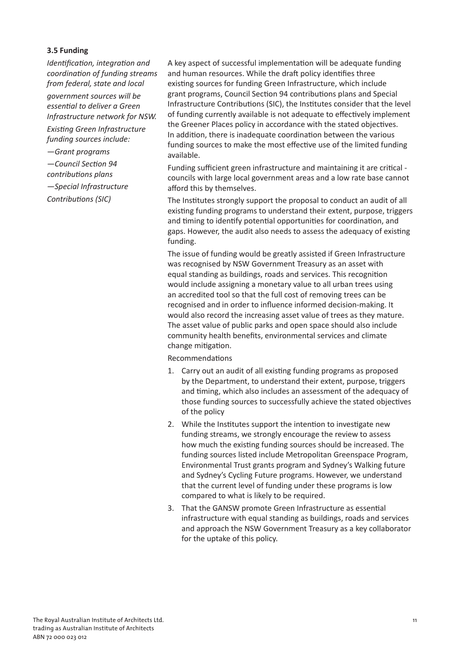#### **3.5 Funding**

*Identification, integration and coordination of funding streams from federal, state and local government sources will be essential to deliver a Green Infrastructure network for NSW.*

*Existing Green Infrastructure funding sources include:*

*—Grant programs —Council Section 94 contributions plans —Special Infrastructure Contributions (SIC)*

A key aspect of successful implementation will be adequate funding and human resources. While the draft policy identifies three existing sources for funding Green Infrastructure, which include grant programs, Council Section 94 contributions plans and Special Infrastructure Contributions (SIC), the Institutes consider that the level of funding currently available is not adequate to effectively implement the Greener Places policy in accordance with the stated objectives. In addition, there is inadequate coordination between the various funding sources to make the most effective use of the limited funding available.

Funding sufficient green infrastructure and maintaining it are critical councils with large local government areas and a low rate base cannot afford this by themselves.

The Institutes strongly support the proposal to conduct an audit of all existing funding programs to understand their extent, purpose, triggers and timing to identify potential opportunities for coordination, and gaps. However, the audit also needs to assess the adequacy of existing funding.

The issue of funding would be greatly assisted if Green Infrastructure was recognised by NSW Government Treasury as an asset with equal standing as buildings, roads and services. This recognition would include assigning a monetary value to all urban trees using an accredited tool so that the full cost of removing trees can be recognised and in order to influence informed decision-making. It would also record the increasing asset value of trees as they mature. The asset value of public parks and open space should also include community health benefits, environmental services and climate change mitigation.

Recommendations

- 1. Carry out an audit of all existing funding programs as proposed by the Department, to understand their extent, purpose, triggers and timing, which also includes an assessment of the adequacy of those funding sources to successfully achieve the stated objectives of the policy
- 2. While the Institutes support the intention to investigate new funding streams, we strongly encourage the review to assess how much the existing funding sources should be increased. The funding sources listed include Metropolitan Greenspace Program, Environmental Trust grants program and Sydney's Walking future and Sydney's Cycling Future programs. However, we understand that the current level of funding under these programs is low compared to what is likely to be required.
- 3. That the GANSW promote Green Infrastructure as essential infrastructure with equal standing as buildings, roads and services and approach the NSW Government Treasury as a key collaborator for the uptake of this policy.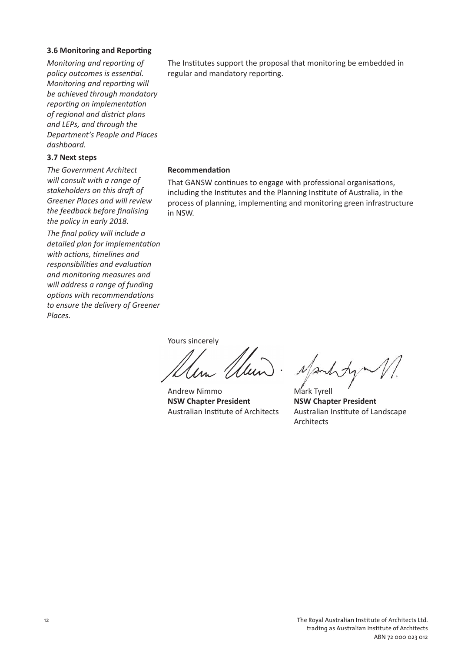#### **3.6 Monitoring and Reporting**

*Monitoring and reporting of policy outcomes is essential. Monitoring and reporting will be achieved through mandatory reporting on implementation of regional and district plans and LEPs, and through the Department's People and Places dashboard.*

#### **3.7 Next steps**

*The Government Architect will consult with a range of stakeholders on this draft of Greener Places and will review the feedback before finalising the policy in early 2018.*

*The final policy will include a detailed plan for implementation with actions, timelines and responsibilities and evaluation and monitoring measures and will address a range of funding options with recommendations to ensure the delivery of Greener Places.*

The Institutes support the proposal that monitoring be embedded in regular and mandatory reporting.

#### **Recommendation**

That GANSW continues to engage with professional organisations, including the Institutes and the Planning Institute of Australia, in the process of planning, implementing and monitoring green infrastructure in NSW.

Yours sincerely

Andrew Nimmo **NSW Chapter President** Australian Institute of Architects

Mark Tyrell **NSW Chapter President** Australian Institute of Landscape Architects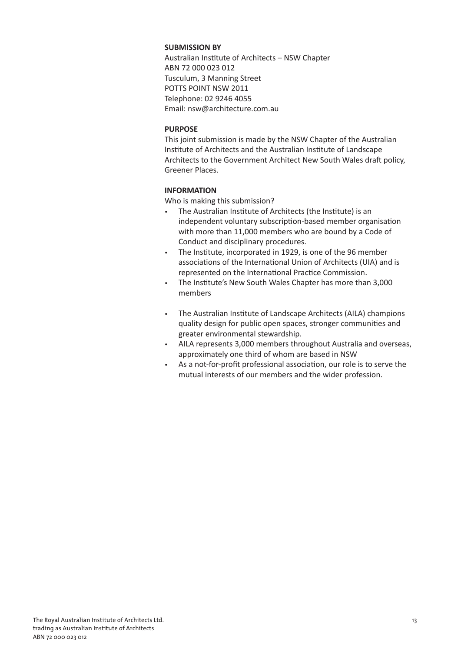#### **SUBMISSION BY**

Australian Institute of Architects – NSW Chapter ABN 72 000 023 012 Tusculum, 3 Manning Street POTTS POINT NSW 2011 Telephone: 02 9246 4055 Email: nsw@architecture.com.au

#### **PURPOSE**

This joint submission is made by the NSW Chapter of the Australian Institute of Architects and the Australian Institute of Landscape Architects to the Government Architect New South Wales draft policy, Greener Places.

#### **INFORMATION**

Who is making this submission?

- The Australian Institute of Architects (the Institute) is an independent voluntary subscription-based member organisation with more than 11,000 members who are bound by a Code of Conduct and disciplinary procedures.
- The Institute, incorporated in 1929, is one of the 96 member associations of the International Union of Architects (UIA) and is represented on the International Practice Commission.
- The Institute's New South Wales Chapter has more than 3,000 members
- The Australian Institute of Landscape Architects (AILA) champions quality design for public open spaces, stronger communities and greater environmental stewardship.
- AILA represents 3,000 members throughout Australia and overseas, approximately one third of whom are based in NSW
- As a not-for-profit professional association, our role is to serve the mutual interests of our members and the wider profession.